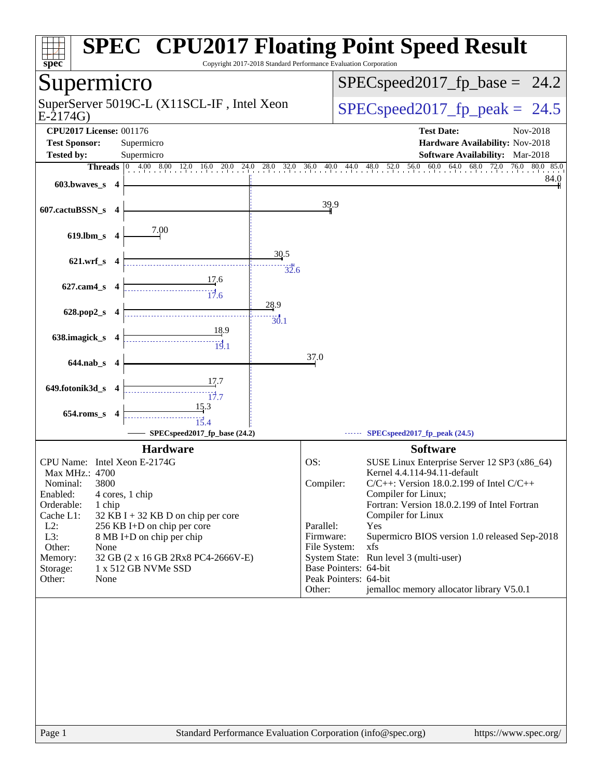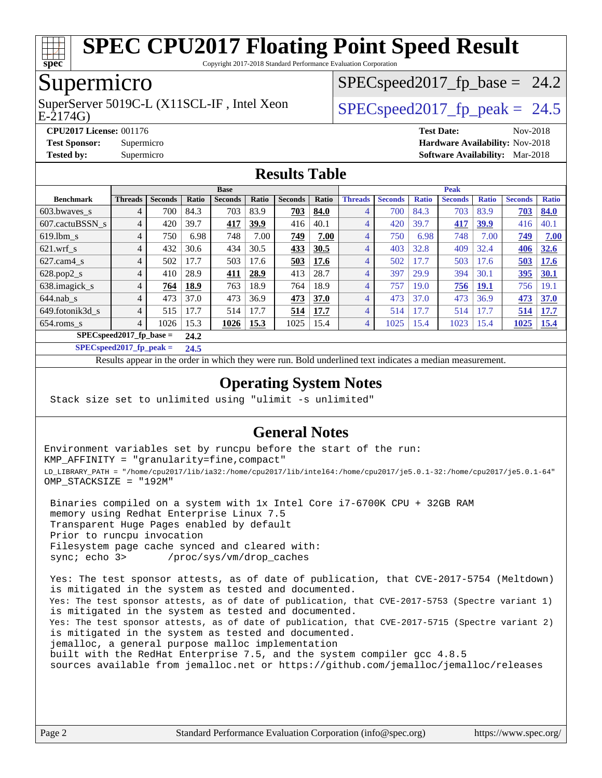

Copyright 2017-2018 Standard Performance Evaluation Corporation

## Supermicro

E-2174G) SuperServer 5019C-L (X11SCL-IF, Intel Xeon  $SPEC speed2017$  fp\_peak = 24.5

 $SPECspeed2017_fp\_base = 24.2$ 

**[CPU2017 License:](http://www.spec.org/auto/cpu2017/Docs/result-fields.html#CPU2017License)** 001176 **[Test Date:](http://www.spec.org/auto/cpu2017/Docs/result-fields.html#TestDate)** Nov-2018 **[Test Sponsor:](http://www.spec.org/auto/cpu2017/Docs/result-fields.html#TestSponsor)** Supermicro **[Hardware Availability:](http://www.spec.org/auto/cpu2017/Docs/result-fields.html#HardwareAvailability)** Nov-2018 **[Tested by:](http://www.spec.org/auto/cpu2017/Docs/result-fields.html#Testedby)** Supermicro **[Software Availability:](http://www.spec.org/auto/cpu2017/Docs/result-fields.html#SoftwareAvailability)** Mar-2018

#### **[Results Table](http://www.spec.org/auto/cpu2017/Docs/result-fields.html#ResultsTable)**

|                                   | <b>Base</b>    |                |       |                |       |                |       | <b>Peak</b>    |                |              |                |              |                |              |
|-----------------------------------|----------------|----------------|-------|----------------|-------|----------------|-------|----------------|----------------|--------------|----------------|--------------|----------------|--------------|
| <b>Benchmark</b>                  | <b>Threads</b> | <b>Seconds</b> | Ratio | <b>Seconds</b> | Ratio | <b>Seconds</b> | Ratio | <b>Threads</b> | <b>Seconds</b> | <b>Ratio</b> | <b>Seconds</b> | <b>Ratio</b> | <b>Seconds</b> | <b>Ratio</b> |
| 603.bwayes s                      | 4              | 700            | 84.3  | 703            | 83.9  | 703            | 84.0  | 4              | 700            | 84.3         | 703            | 83.9         | 703            | 84.0         |
| 607.cactuBSSN s                   | 4              | 420            | 39.7  | 417            | 39.9  | 416            | 40.1  | 4              | 420            | 39.7         | 417            | <u>39.9</u>  | 416            | 40.1         |
| $619.1$ bm s                      | $\overline{4}$ | 750            | 6.98  | 748            | 7.00  | 749            | 7.00  | 4              | 750            | 6.98         | 748            | 7.00         | 749            | 7.00         |
| $621$ .wrf s                      | 4              | 432            | 30.6  | 434            | 30.5  | 433            | 30.5  | 4              | 403            | 32.8         | 409            | 32.4         | 406            | 32.6         |
| $627$ .cam $4$ s                  | 4              | 502            | 17.7  | 503            | 17.6  | 503            | 17.6  | 4              | 502            | 17.7         | 503            | 17.6         | 503            | 17.6         |
| $628.pop2_s$                      | 4              | 410            | 28.9  | 411            | 28.9  | 413            | 28.7  | $\overline{4}$ | 397            | 29.9         | 394            | 30.1         | 395            | 30.1         |
| 638.imagick_s                     | 4              | 764            | 18.9  | 763            | 18.9  | 764            | 18.9  | 4              | 757            | 19.0         | 756            | <b>19.1</b>  | 756            | 19.1         |
| $644$ .nab s                      | 4              | 473            | 37.0  | 473            | 36.9  | 473            | 37.0  | 4              | 473            | 37.0         | 473            | 36.9         | 473            | 37.0         |
| 649.fotonik3d s                   | 4              | 515            | 17.7  | 514            | 17.7  | 514            | 17.7  | 4              | 514            | 17.7         | 514            | 17.7         | 514            | 17.7         |
| $654$ .roms s                     | 4              | 1026           | 15.3  | 1026           | 15.3  | 1025           | 15.4  | 4              | 1025           | 15.4         | 1023           | 15.4         | 1025           | <u>15.4</u>  |
| $SPECspeed2017$ fp base =<br>24.2 |                |                |       |                |       |                |       |                |                |              |                |              |                |              |

**[SPECspeed2017\\_fp\\_peak =](http://www.spec.org/auto/cpu2017/Docs/result-fields.html#SPECspeed2017fppeak) 24.5**

Results appear in the [order in which they were run.](http://www.spec.org/auto/cpu2017/Docs/result-fields.html#RunOrder) Bold underlined text [indicates a median measurement](http://www.spec.org/auto/cpu2017/Docs/result-fields.html#Median).

#### **[Operating System Notes](http://www.spec.org/auto/cpu2017/Docs/result-fields.html#OperatingSystemNotes)**

Stack size set to unlimited using "ulimit -s unlimited"

#### **[General Notes](http://www.spec.org/auto/cpu2017/Docs/result-fields.html#GeneralNotes)**

Environment variables set by runcpu before the start of the run: KMP\_AFFINITY = "granularity=fine,compact" LD\_LIBRARY\_PATH = "/home/cpu2017/lib/ia32:/home/cpu2017/lib/intel64:/home/cpu2017/je5.0.1-32:/home/cpu2017/je5.0.1-64" OMP\_STACKSIZE = "192M"

 Binaries compiled on a system with 1x Intel Core i7-6700K CPU + 32GB RAM memory using Redhat Enterprise Linux 7.5 Transparent Huge Pages enabled by default Prior to runcpu invocation Filesystem page cache synced and cleared with: sync; echo 3> /proc/sys/vm/drop\_caches

 Yes: The test sponsor attests, as of date of publication, that CVE-2017-5754 (Meltdown) is mitigated in the system as tested and documented. Yes: The test sponsor attests, as of date of publication, that CVE-2017-5753 (Spectre variant 1) is mitigated in the system as tested and documented. Yes: The test sponsor attests, as of date of publication, that CVE-2017-5715 (Spectre variant 2) is mitigated in the system as tested and documented. jemalloc, a general purpose malloc implementation built with the RedHat Enterprise 7.5, and the system compiler gcc 4.8.5 sources available from jemalloc.net or <https://github.com/jemalloc/jemalloc/releases>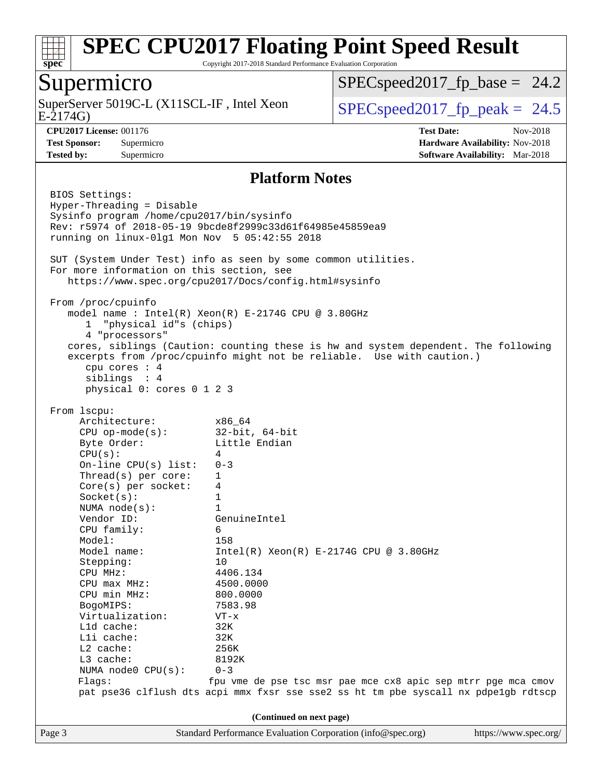

Copyright 2017-2018 Standard Performance Evaluation Corporation

### Supermicro

E-2174G) SuperServer 5019C-L (X11SCL-IF, Intel Xeon  $SPEC speed2017_fp\_peak = 24.5$ 

 $SPECspeed2017_fp\_base = 24.2$ 

**[Tested by:](http://www.spec.org/auto/cpu2017/Docs/result-fields.html#Testedby)** Supermicro **[Software Availability:](http://www.spec.org/auto/cpu2017/Docs/result-fields.html#SoftwareAvailability)** Mar-2018

**[CPU2017 License:](http://www.spec.org/auto/cpu2017/Docs/result-fields.html#CPU2017License)** 001176 **[Test Date:](http://www.spec.org/auto/cpu2017/Docs/result-fields.html#TestDate)** Nov-2018 **[Test Sponsor:](http://www.spec.org/auto/cpu2017/Docs/result-fields.html#TestSponsor)** Supermicro **[Hardware Availability:](http://www.spec.org/auto/cpu2017/Docs/result-fields.html#HardwareAvailability)** Nov-2018

#### **[Platform Notes](http://www.spec.org/auto/cpu2017/Docs/result-fields.html#PlatformNotes)**

Page 3 Standard Performance Evaluation Corporation [\(info@spec.org\)](mailto:info@spec.org) <https://www.spec.org/> BIOS Settings: Hyper-Threading = Disable Sysinfo program /home/cpu2017/bin/sysinfo Rev: r5974 of 2018-05-19 9bcde8f2999c33d61f64985e45859ea9 running on linux-0lg1 Mon Nov 5 05:42:55 2018 SUT (System Under Test) info as seen by some common utilities. For more information on this section, see <https://www.spec.org/cpu2017/Docs/config.html#sysinfo> From /proc/cpuinfo model name : Intel(R) Xeon(R) E-2174G CPU @ 3.80GHz 1 "physical id"s (chips) 4 "processors" cores, siblings (Caution: counting these is hw and system dependent. The following excerpts from /proc/cpuinfo might not be reliable. Use with caution.) cpu cores : 4 siblings : 4 physical 0: cores 0 1 2 3 From lscpu: Architecture: x86\_64 CPU op-mode(s): 32-bit, 64-bit Byte Order: Little Endian  $CPU(s):$  4 On-line CPU(s) list: 0-3 Thread(s) per core: 1 Core(s) per socket: 4 Socket(s): 1 NUMA node(s): 1 Vendor ID: GenuineIntel CPU family: 6 Model: 158 Model name:  $Intel(R)$  Xeon(R) E-2174G CPU @ 3.80GHz Stepping: 10 CPU MHz: 4406.134 CPU max MHz: 4500.0000 CPU min MHz: 800.0000 BogoMIPS: 7583.98 Virtualization: VT-x L1d cache: 32K L1i cache: 32K L2 cache: 256K L3 cache: 8192K NUMA node0 CPU(s): 0-3 Flags: fpu vme de pse tsc msr pae mce cx8 apic sep mtrr pge mca cmov pat pse36 clflush dts acpi mmx fxsr sse sse2 ss ht tm pbe syscall nx pdpe1gb rdtscp **(Continued on next page)**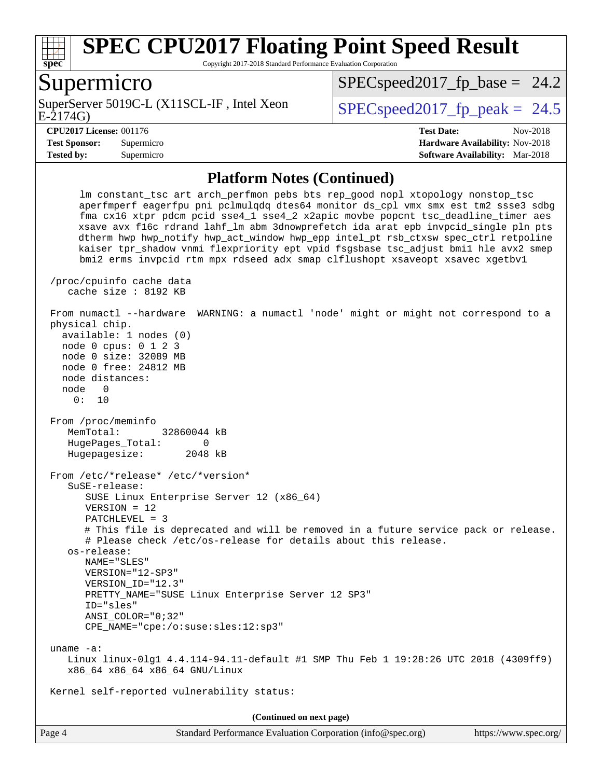

Copyright 2017-2018 Standard Performance Evaluation Corporation

### Supermicro

E-2174G) SuperServer 5019C-L (X11SCL-IF, Intel Xeon  $SPEC speed2017$  fp\_peak = 24.5

 $SPECspeed2017_fp\_base = 24.2$ 

**[Tested by:](http://www.spec.org/auto/cpu2017/Docs/result-fields.html#Testedby)** Supermicro **[Software Availability:](http://www.spec.org/auto/cpu2017/Docs/result-fields.html#SoftwareAvailability)** Mar-2018

**[CPU2017 License:](http://www.spec.org/auto/cpu2017/Docs/result-fields.html#CPU2017License)** 001176 **[Test Date:](http://www.spec.org/auto/cpu2017/Docs/result-fields.html#TestDate)** Nov-2018 **[Test Sponsor:](http://www.spec.org/auto/cpu2017/Docs/result-fields.html#TestSponsor)** Supermicro **[Hardware Availability:](http://www.spec.org/auto/cpu2017/Docs/result-fields.html#HardwareAvailability)** Nov-2018

#### **[Platform Notes \(Continued\)](http://www.spec.org/auto/cpu2017/Docs/result-fields.html#PlatformNotes)**

 lm constant\_tsc art arch\_perfmon pebs bts rep\_good nopl xtopology nonstop\_tsc aperfmperf eagerfpu pni pclmulqdq dtes64 monitor ds\_cpl vmx smx est tm2 ssse3 sdbg fma cx16 xtpr pdcm pcid sse4\_1 sse4\_2 x2apic movbe popcnt tsc\_deadline\_timer aes xsave avx f16c rdrand lahf\_lm abm 3dnowprefetch ida arat epb invpcid\_single pln pts dtherm hwp hwp\_notify hwp\_act\_window hwp\_epp intel\_pt rsb\_ctxsw spec\_ctrl retpoline kaiser tpr\_shadow vnmi flexpriority ept vpid fsgsbase tsc\_adjust bmi1 hle avx2 smep bmi2 erms invpcid rtm mpx rdseed adx smap clflushopt xsaveopt xsavec xgetbv1 /proc/cpuinfo cache data cache size : 8192 KB From numactl --hardware WARNING: a numactl 'node' might or might not correspond to a physical chip. available: 1 nodes (0) node 0 cpus: 0 1 2 3 node 0 size: 32089 MB node 0 free: 24812 MB node distances: node 0 0: 10 From /proc/meminfo MemTotal: 32860044 kB HugePages Total: 0 Hugepagesize: 2048 kB From /etc/\*release\* /etc/\*version\* SuSE-release: SUSE Linux Enterprise Server 12 (x86\_64) VERSION = 12 PATCHLEVEL = 3 # This file is deprecated and will be removed in a future service pack or release. # Please check /etc/os-release for details about this release. os-release: NAME="SLES" VERSION="12-SP3" VERSION\_ID="12.3" PRETTY\_NAME="SUSE Linux Enterprise Server 12 SP3" ID="sles" ANSI\_COLOR="0;32" CPE\_NAME="cpe:/o:suse:sles:12:sp3" uname -a: Linux linux-0lg1 4.4.114-94.11-default #1 SMP Thu Feb 1 19:28:26 UTC 2018 (4309ff9) x86\_64 x86\_64 x86\_64 GNU/Linux Kernel self-reported vulnerability status: **(Continued on next page)**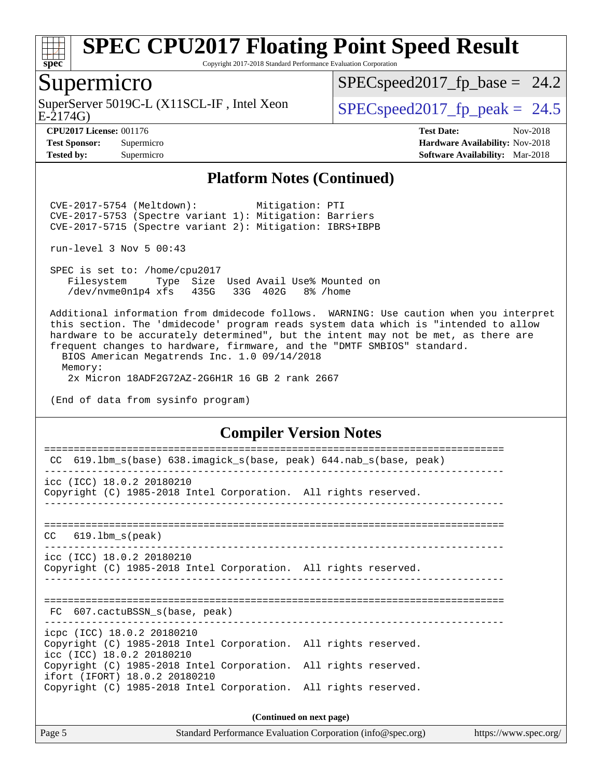

Copyright 2017-2018 Standard Performance Evaluation Corporation

## Supermicro

SuperServer 5019C-L (X11SCL-IF, Intel Xeon<br>E-2174G)

 $SPECspeed2017_fp\_base = 24.2$ 

 $SPECspeed2017_f p\_peak = 24.5$ 

**[Tested by:](http://www.spec.org/auto/cpu2017/Docs/result-fields.html#Testedby)** Supermicro **[Software Availability:](http://www.spec.org/auto/cpu2017/Docs/result-fields.html#SoftwareAvailability)** Mar-2018

**[CPU2017 License:](http://www.spec.org/auto/cpu2017/Docs/result-fields.html#CPU2017License)** 001176 **[Test Date:](http://www.spec.org/auto/cpu2017/Docs/result-fields.html#TestDate)** Nov-2018 **[Test Sponsor:](http://www.spec.org/auto/cpu2017/Docs/result-fields.html#TestSponsor)** Supermicro **[Hardware Availability:](http://www.spec.org/auto/cpu2017/Docs/result-fields.html#HardwareAvailability)** Nov-2018

#### **[Platform Notes \(Continued\)](http://www.spec.org/auto/cpu2017/Docs/result-fields.html#PlatformNotes)**

 CVE-2017-5754 (Meltdown): Mitigation: PTI CVE-2017-5753 (Spectre variant 1): Mitigation: Barriers CVE-2017-5715 (Spectre variant 2): Mitigation: IBRS+IBPB

run-level 3 Nov 5 00:43

 SPEC is set to: /home/cpu2017 Filesystem Type Size Used Avail Use% Mounted on /dev/nvme0n1p4 xfs 435G 33G 402G 8% /home

 Additional information from dmidecode follows. WARNING: Use caution when you interpret this section. The 'dmidecode' program reads system data which is "intended to allow hardware to be accurately determined", but the intent may not be met, as there are frequent changes to hardware, firmware, and the "DMTF SMBIOS" standard.

 BIOS American Megatrends Inc. 1.0 09/14/2018 Memory:

2x Micron 18ADF2G72AZ-2G6H1R 16 GB 2 rank 2667

(End of data from sysinfo program)

#### **[Compiler Version Notes](http://www.spec.org/auto/cpu2017/Docs/result-fields.html#CompilerVersionNotes)**

| 619.1bm_s(base) 638.imagick_s(base, peak) 644.nab_s(base, peak)<br>CC                                                      |                          |
|----------------------------------------------------------------------------------------------------------------------------|--------------------------|
|                                                                                                                            |                          |
| icc (ICC) 18.0.2 20180210<br>Copyright (C) 1985-2018 Intel Corporation. All rights reserved.                               |                          |
|                                                                                                                            |                          |
| $CC$ 619.1bm $s$ (peak)                                                                                                    |                          |
| icc (ICC) 18.0.2 20180210<br>Copyright (C) 1985-2018 Intel Corporation. All rights reserved.                               |                          |
| FC 607.cactuBSSN s(base, peak)                                                                                             |                          |
| icpc (ICC) 18.0.2 20180210<br>Copyright (C) 1985-2018 Intel Corporation. All rights reserved.<br>icc (ICC) 18.0.2 20180210 |                          |
| Copyright (C) 1985-2018 Intel Corporation. All rights reserved.<br>ifort (IFORT) 18.0.2 20180210                           |                          |
| Copyright (C) 1985-2018 Intel Corporation. All rights reserved.                                                            |                          |
|                                                                                                                            | (Continued on next page) |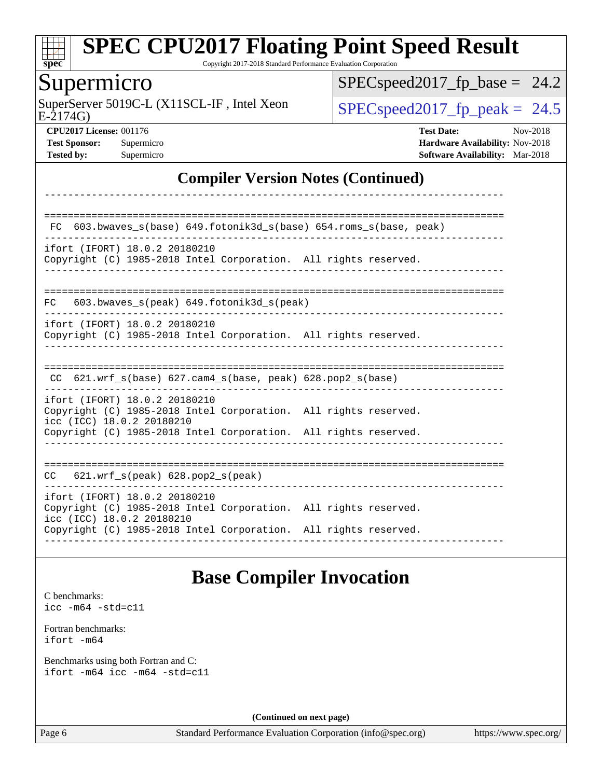

Copyright 2017-2018 Standard Performance Evaluation Corporation

## Supermicro

E-2174G) SuperServer 5019C-L (X11SCL-IF, Intel Xeon  $SPEC speed2017_fp\_peak = 24.5$ 

 $SPEC speed2017_fp\_base = 24.2$ 

**[CPU2017 License:](http://www.spec.org/auto/cpu2017/Docs/result-fields.html#CPU2017License)** 001176 **[Test Date:](http://www.spec.org/auto/cpu2017/Docs/result-fields.html#TestDate)** Nov-2018 **[Test Sponsor:](http://www.spec.org/auto/cpu2017/Docs/result-fields.html#TestSponsor)** Supermicro **[Hardware Availability:](http://www.spec.org/auto/cpu2017/Docs/result-fields.html#HardwareAvailability)** Nov-2018 **[Tested by:](http://www.spec.org/auto/cpu2017/Docs/result-fields.html#Testedby)** Supermicro **[Software Availability:](http://www.spec.org/auto/cpu2017/Docs/result-fields.html#SoftwareAvailability)** Mar-2018

#### **[Compiler Version Notes \(Continued\)](http://www.spec.org/auto/cpu2017/Docs/result-fields.html#CompilerVersionNotes)**

## **[Base Compiler Invocation](http://www.spec.org/auto/cpu2017/Docs/result-fields.html#BaseCompilerInvocation)**

[C benchmarks](http://www.spec.org/auto/cpu2017/Docs/result-fields.html#Cbenchmarks): [icc -m64 -std=c11](http://www.spec.org/cpu2017/results/res2018q4/cpu2017-20181112-09579.flags.html#user_CCbase_intel_icc_64bit_c11_33ee0cdaae7deeeab2a9725423ba97205ce30f63b9926c2519791662299b76a0318f32ddfffdc46587804de3178b4f9328c46fa7c2b0cd779d7a61945c91cd35)

[Fortran benchmarks](http://www.spec.org/auto/cpu2017/Docs/result-fields.html#Fortranbenchmarks): [ifort -m64](http://www.spec.org/cpu2017/results/res2018q4/cpu2017-20181112-09579.flags.html#user_FCbase_intel_ifort_64bit_24f2bb282fbaeffd6157abe4f878425411749daecae9a33200eee2bee2fe76f3b89351d69a8130dd5949958ce389cf37ff59a95e7a40d588e8d3a57e0c3fd751)

[Benchmarks using both Fortran and C](http://www.spec.org/auto/cpu2017/Docs/result-fields.html#BenchmarksusingbothFortranandC): [ifort -m64](http://www.spec.org/cpu2017/results/res2018q4/cpu2017-20181112-09579.flags.html#user_CC_FCbase_intel_ifort_64bit_24f2bb282fbaeffd6157abe4f878425411749daecae9a33200eee2bee2fe76f3b89351d69a8130dd5949958ce389cf37ff59a95e7a40d588e8d3a57e0c3fd751) [icc -m64 -std=c11](http://www.spec.org/cpu2017/results/res2018q4/cpu2017-20181112-09579.flags.html#user_CC_FCbase_intel_icc_64bit_c11_33ee0cdaae7deeeab2a9725423ba97205ce30f63b9926c2519791662299b76a0318f32ddfffdc46587804de3178b4f9328c46fa7c2b0cd779d7a61945c91cd35)

**(Continued on next page)**

Page 6 Standard Performance Evaluation Corporation [\(info@spec.org\)](mailto:info@spec.org) <https://www.spec.org/>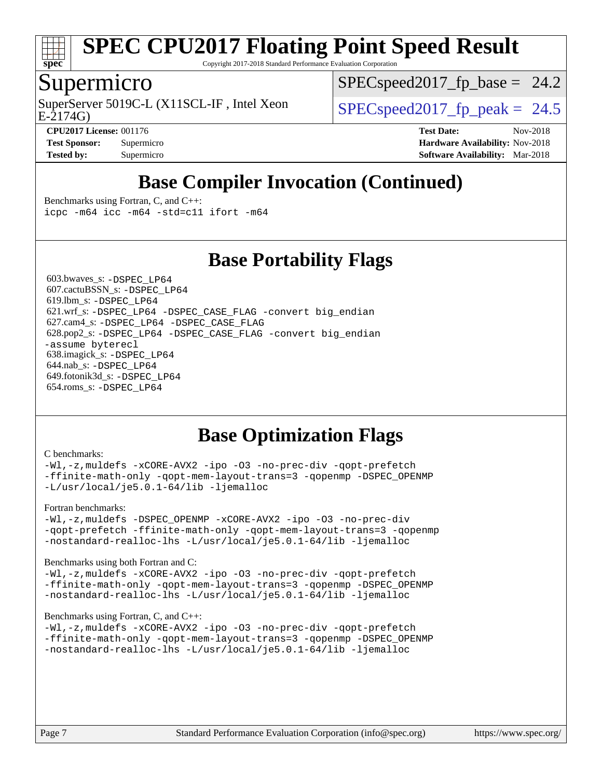

Copyright 2017-2018 Standard Performance Evaluation Corporation

### Supermicro

E-2174G) SuperServer 5019C-L (X11SCL-IF, Intel Xeon  $SPEC speed2017$  fp\_peak = 24.5

 $SPECspeed2017_fp\_base = 24.2$ 

**[Tested by:](http://www.spec.org/auto/cpu2017/Docs/result-fields.html#Testedby)** Supermicro **[Software Availability:](http://www.spec.org/auto/cpu2017/Docs/result-fields.html#SoftwareAvailability)** Mar-2018

**[CPU2017 License:](http://www.spec.org/auto/cpu2017/Docs/result-fields.html#CPU2017License)** 001176 **[Test Date:](http://www.spec.org/auto/cpu2017/Docs/result-fields.html#TestDate)** Nov-2018 **[Test Sponsor:](http://www.spec.org/auto/cpu2017/Docs/result-fields.html#TestSponsor)** Supermicro **[Hardware Availability:](http://www.spec.org/auto/cpu2017/Docs/result-fields.html#HardwareAvailability)** Nov-2018

## **[Base Compiler Invocation \(Continued\)](http://www.spec.org/auto/cpu2017/Docs/result-fields.html#BaseCompilerInvocation)**

[Benchmarks using Fortran, C, and C++:](http://www.spec.org/auto/cpu2017/Docs/result-fields.html#BenchmarksusingFortranCandCXX) [icpc -m64](http://www.spec.org/cpu2017/results/res2018q4/cpu2017-20181112-09579.flags.html#user_CC_CXX_FCbase_intel_icpc_64bit_4ecb2543ae3f1412ef961e0650ca070fec7b7afdcd6ed48761b84423119d1bf6bdf5cad15b44d48e7256388bc77273b966e5eb805aefd121eb22e9299b2ec9d9) [icc -m64 -std=c11](http://www.spec.org/cpu2017/results/res2018q4/cpu2017-20181112-09579.flags.html#user_CC_CXX_FCbase_intel_icc_64bit_c11_33ee0cdaae7deeeab2a9725423ba97205ce30f63b9926c2519791662299b76a0318f32ddfffdc46587804de3178b4f9328c46fa7c2b0cd779d7a61945c91cd35) [ifort -m64](http://www.spec.org/cpu2017/results/res2018q4/cpu2017-20181112-09579.flags.html#user_CC_CXX_FCbase_intel_ifort_64bit_24f2bb282fbaeffd6157abe4f878425411749daecae9a33200eee2bee2fe76f3b89351d69a8130dd5949958ce389cf37ff59a95e7a40d588e8d3a57e0c3fd751)

**[Base Portability Flags](http://www.spec.org/auto/cpu2017/Docs/result-fields.html#BasePortabilityFlags)**

 603.bwaves\_s: [-DSPEC\\_LP64](http://www.spec.org/cpu2017/results/res2018q4/cpu2017-20181112-09579.flags.html#suite_basePORTABILITY603_bwaves_s_DSPEC_LP64) 607.cactuBSSN\_s: [-DSPEC\\_LP64](http://www.spec.org/cpu2017/results/res2018q4/cpu2017-20181112-09579.flags.html#suite_basePORTABILITY607_cactuBSSN_s_DSPEC_LP64) 619.lbm\_s: [-DSPEC\\_LP64](http://www.spec.org/cpu2017/results/res2018q4/cpu2017-20181112-09579.flags.html#suite_basePORTABILITY619_lbm_s_DSPEC_LP64) 621.wrf\_s: [-DSPEC\\_LP64](http://www.spec.org/cpu2017/results/res2018q4/cpu2017-20181112-09579.flags.html#suite_basePORTABILITY621_wrf_s_DSPEC_LP64) [-DSPEC\\_CASE\\_FLAG](http://www.spec.org/cpu2017/results/res2018q4/cpu2017-20181112-09579.flags.html#b621.wrf_s_baseCPORTABILITY_DSPEC_CASE_FLAG) [-convert big\\_endian](http://www.spec.org/cpu2017/results/res2018q4/cpu2017-20181112-09579.flags.html#user_baseFPORTABILITY621_wrf_s_convert_big_endian_c3194028bc08c63ac5d04de18c48ce6d347e4e562e8892b8bdbdc0214820426deb8554edfa529a3fb25a586e65a3d812c835984020483e7e73212c4d31a38223) 627.cam4\_s: [-DSPEC\\_LP64](http://www.spec.org/cpu2017/results/res2018q4/cpu2017-20181112-09579.flags.html#suite_basePORTABILITY627_cam4_s_DSPEC_LP64) [-DSPEC\\_CASE\\_FLAG](http://www.spec.org/cpu2017/results/res2018q4/cpu2017-20181112-09579.flags.html#b627.cam4_s_baseCPORTABILITY_DSPEC_CASE_FLAG) 628.pop2\_s: [-DSPEC\\_LP64](http://www.spec.org/cpu2017/results/res2018q4/cpu2017-20181112-09579.flags.html#suite_basePORTABILITY628_pop2_s_DSPEC_LP64) [-DSPEC\\_CASE\\_FLAG](http://www.spec.org/cpu2017/results/res2018q4/cpu2017-20181112-09579.flags.html#b628.pop2_s_baseCPORTABILITY_DSPEC_CASE_FLAG) [-convert big\\_endian](http://www.spec.org/cpu2017/results/res2018q4/cpu2017-20181112-09579.flags.html#user_baseFPORTABILITY628_pop2_s_convert_big_endian_c3194028bc08c63ac5d04de18c48ce6d347e4e562e8892b8bdbdc0214820426deb8554edfa529a3fb25a586e65a3d812c835984020483e7e73212c4d31a38223) [-assume byterecl](http://www.spec.org/cpu2017/results/res2018q4/cpu2017-20181112-09579.flags.html#user_baseFPORTABILITY628_pop2_s_assume_byterecl_7e47d18b9513cf18525430bbf0f2177aa9bf368bc7a059c09b2c06a34b53bd3447c950d3f8d6c70e3faf3a05c8557d66a5798b567902e8849adc142926523472) 638.imagick\_s: [-DSPEC\\_LP64](http://www.spec.org/cpu2017/results/res2018q4/cpu2017-20181112-09579.flags.html#suite_basePORTABILITY638_imagick_s_DSPEC_LP64) 644.nab\_s: [-DSPEC\\_LP64](http://www.spec.org/cpu2017/results/res2018q4/cpu2017-20181112-09579.flags.html#suite_basePORTABILITY644_nab_s_DSPEC_LP64) 649.fotonik3d\_s: [-DSPEC\\_LP64](http://www.spec.org/cpu2017/results/res2018q4/cpu2017-20181112-09579.flags.html#suite_basePORTABILITY649_fotonik3d_s_DSPEC_LP64) 654.roms\_s: [-DSPEC\\_LP64](http://www.spec.org/cpu2017/results/res2018q4/cpu2017-20181112-09579.flags.html#suite_basePORTABILITY654_roms_s_DSPEC_LP64)

## **[Base Optimization Flags](http://www.spec.org/auto/cpu2017/Docs/result-fields.html#BaseOptimizationFlags)**

#### [C benchmarks](http://www.spec.org/auto/cpu2017/Docs/result-fields.html#Cbenchmarks):

[-Wl,-z,muldefs](http://www.spec.org/cpu2017/results/res2018q4/cpu2017-20181112-09579.flags.html#user_CCbase_link_force_multiple1_b4cbdb97b34bdee9ceefcfe54f4c8ea74255f0b02a4b23e853cdb0e18eb4525ac79b5a88067c842dd0ee6996c24547a27a4b99331201badda8798ef8a743f577) [-xCORE-AVX2](http://www.spec.org/cpu2017/results/res2018q4/cpu2017-20181112-09579.flags.html#user_CCbase_f-xCORE-AVX2) [-ipo](http://www.spec.org/cpu2017/results/res2018q4/cpu2017-20181112-09579.flags.html#user_CCbase_f-ipo) [-O3](http://www.spec.org/cpu2017/results/res2018q4/cpu2017-20181112-09579.flags.html#user_CCbase_f-O3) [-no-prec-div](http://www.spec.org/cpu2017/results/res2018q4/cpu2017-20181112-09579.flags.html#user_CCbase_f-no-prec-div) [-qopt-prefetch](http://www.spec.org/cpu2017/results/res2018q4/cpu2017-20181112-09579.flags.html#user_CCbase_f-qopt-prefetch) [-ffinite-math-only](http://www.spec.org/cpu2017/results/res2018q4/cpu2017-20181112-09579.flags.html#user_CCbase_f_finite_math_only_cb91587bd2077682c4b38af759c288ed7c732db004271a9512da14a4f8007909a5f1427ecbf1a0fb78ff2a814402c6114ac565ca162485bbcae155b5e4258871) [-qopt-mem-layout-trans=3](http://www.spec.org/cpu2017/results/res2018q4/cpu2017-20181112-09579.flags.html#user_CCbase_f-qopt-mem-layout-trans_de80db37974c74b1f0e20d883f0b675c88c3b01e9d123adea9b28688d64333345fb62bc4a798493513fdb68f60282f9a726aa07f478b2f7113531aecce732043) [-qopenmp](http://www.spec.org/cpu2017/results/res2018q4/cpu2017-20181112-09579.flags.html#user_CCbase_qopenmp_16be0c44f24f464004c6784a7acb94aca937f053568ce72f94b139a11c7c168634a55f6653758ddd83bcf7b8463e8028bb0b48b77bcddc6b78d5d95bb1df2967) [-DSPEC\\_OPENMP](http://www.spec.org/cpu2017/results/res2018q4/cpu2017-20181112-09579.flags.html#suite_CCbase_DSPEC_OPENMP) [-L/usr/local/je5.0.1-64/lib](http://www.spec.org/cpu2017/results/res2018q4/cpu2017-20181112-09579.flags.html#user_CCbase_jemalloc_link_path64_4b10a636b7bce113509b17f3bd0d6226c5fb2346b9178c2d0232c14f04ab830f976640479e5c33dc2bcbbdad86ecfb6634cbbd4418746f06f368b512fced5394) [-ljemalloc](http://www.spec.org/cpu2017/results/res2018q4/cpu2017-20181112-09579.flags.html#user_CCbase_jemalloc_link_lib_d1249b907c500fa1c0672f44f562e3d0f79738ae9e3c4a9c376d49f265a04b9c99b167ecedbf6711b3085be911c67ff61f150a17b3472be731631ba4d0471706)

[Fortran benchmarks](http://www.spec.org/auto/cpu2017/Docs/result-fields.html#Fortranbenchmarks):

[-Wl,-z,muldefs](http://www.spec.org/cpu2017/results/res2018q4/cpu2017-20181112-09579.flags.html#user_FCbase_link_force_multiple1_b4cbdb97b34bdee9ceefcfe54f4c8ea74255f0b02a4b23e853cdb0e18eb4525ac79b5a88067c842dd0ee6996c24547a27a4b99331201badda8798ef8a743f577) [-DSPEC\\_OPENMP](http://www.spec.org/cpu2017/results/res2018q4/cpu2017-20181112-09579.flags.html#suite_FCbase_DSPEC_OPENMP) [-xCORE-AVX2](http://www.spec.org/cpu2017/results/res2018q4/cpu2017-20181112-09579.flags.html#user_FCbase_f-xCORE-AVX2) [-ipo](http://www.spec.org/cpu2017/results/res2018q4/cpu2017-20181112-09579.flags.html#user_FCbase_f-ipo) [-O3](http://www.spec.org/cpu2017/results/res2018q4/cpu2017-20181112-09579.flags.html#user_FCbase_f-O3) [-no-prec-div](http://www.spec.org/cpu2017/results/res2018q4/cpu2017-20181112-09579.flags.html#user_FCbase_f-no-prec-div) [-qopt-prefetch](http://www.spec.org/cpu2017/results/res2018q4/cpu2017-20181112-09579.flags.html#user_FCbase_f-qopt-prefetch) [-ffinite-math-only](http://www.spec.org/cpu2017/results/res2018q4/cpu2017-20181112-09579.flags.html#user_FCbase_f_finite_math_only_cb91587bd2077682c4b38af759c288ed7c732db004271a9512da14a4f8007909a5f1427ecbf1a0fb78ff2a814402c6114ac565ca162485bbcae155b5e4258871) [-qopt-mem-layout-trans=3](http://www.spec.org/cpu2017/results/res2018q4/cpu2017-20181112-09579.flags.html#user_FCbase_f-qopt-mem-layout-trans_de80db37974c74b1f0e20d883f0b675c88c3b01e9d123adea9b28688d64333345fb62bc4a798493513fdb68f60282f9a726aa07f478b2f7113531aecce732043) [-qopenmp](http://www.spec.org/cpu2017/results/res2018q4/cpu2017-20181112-09579.flags.html#user_FCbase_qopenmp_16be0c44f24f464004c6784a7acb94aca937f053568ce72f94b139a11c7c168634a55f6653758ddd83bcf7b8463e8028bb0b48b77bcddc6b78d5d95bb1df2967) [-nostandard-realloc-lhs](http://www.spec.org/cpu2017/results/res2018q4/cpu2017-20181112-09579.flags.html#user_FCbase_f_2003_std_realloc_82b4557e90729c0f113870c07e44d33d6f5a304b4f63d4c15d2d0f1fab99f5daaed73bdb9275d9ae411527f28b936061aa8b9c8f2d63842963b95c9dd6426b8a) [-L/usr/local/je5.0.1-64/lib](http://www.spec.org/cpu2017/results/res2018q4/cpu2017-20181112-09579.flags.html#user_FCbase_jemalloc_link_path64_4b10a636b7bce113509b17f3bd0d6226c5fb2346b9178c2d0232c14f04ab830f976640479e5c33dc2bcbbdad86ecfb6634cbbd4418746f06f368b512fced5394) [-ljemalloc](http://www.spec.org/cpu2017/results/res2018q4/cpu2017-20181112-09579.flags.html#user_FCbase_jemalloc_link_lib_d1249b907c500fa1c0672f44f562e3d0f79738ae9e3c4a9c376d49f265a04b9c99b167ecedbf6711b3085be911c67ff61f150a17b3472be731631ba4d0471706)

[Benchmarks using both Fortran and C](http://www.spec.org/auto/cpu2017/Docs/result-fields.html#BenchmarksusingbothFortranandC):

[-Wl,-z,muldefs](http://www.spec.org/cpu2017/results/res2018q4/cpu2017-20181112-09579.flags.html#user_CC_FCbase_link_force_multiple1_b4cbdb97b34bdee9ceefcfe54f4c8ea74255f0b02a4b23e853cdb0e18eb4525ac79b5a88067c842dd0ee6996c24547a27a4b99331201badda8798ef8a743f577) [-xCORE-AVX2](http://www.spec.org/cpu2017/results/res2018q4/cpu2017-20181112-09579.flags.html#user_CC_FCbase_f-xCORE-AVX2) [-ipo](http://www.spec.org/cpu2017/results/res2018q4/cpu2017-20181112-09579.flags.html#user_CC_FCbase_f-ipo) [-O3](http://www.spec.org/cpu2017/results/res2018q4/cpu2017-20181112-09579.flags.html#user_CC_FCbase_f-O3) [-no-prec-div](http://www.spec.org/cpu2017/results/res2018q4/cpu2017-20181112-09579.flags.html#user_CC_FCbase_f-no-prec-div) [-qopt-prefetch](http://www.spec.org/cpu2017/results/res2018q4/cpu2017-20181112-09579.flags.html#user_CC_FCbase_f-qopt-prefetch) [-ffinite-math-only](http://www.spec.org/cpu2017/results/res2018q4/cpu2017-20181112-09579.flags.html#user_CC_FCbase_f_finite_math_only_cb91587bd2077682c4b38af759c288ed7c732db004271a9512da14a4f8007909a5f1427ecbf1a0fb78ff2a814402c6114ac565ca162485bbcae155b5e4258871) [-qopt-mem-layout-trans=3](http://www.spec.org/cpu2017/results/res2018q4/cpu2017-20181112-09579.flags.html#user_CC_FCbase_f-qopt-mem-layout-trans_de80db37974c74b1f0e20d883f0b675c88c3b01e9d123adea9b28688d64333345fb62bc4a798493513fdb68f60282f9a726aa07f478b2f7113531aecce732043) [-qopenmp](http://www.spec.org/cpu2017/results/res2018q4/cpu2017-20181112-09579.flags.html#user_CC_FCbase_qopenmp_16be0c44f24f464004c6784a7acb94aca937f053568ce72f94b139a11c7c168634a55f6653758ddd83bcf7b8463e8028bb0b48b77bcddc6b78d5d95bb1df2967) [-DSPEC\\_OPENMP](http://www.spec.org/cpu2017/results/res2018q4/cpu2017-20181112-09579.flags.html#suite_CC_FCbase_DSPEC_OPENMP) [-nostandard-realloc-lhs](http://www.spec.org/cpu2017/results/res2018q4/cpu2017-20181112-09579.flags.html#user_CC_FCbase_f_2003_std_realloc_82b4557e90729c0f113870c07e44d33d6f5a304b4f63d4c15d2d0f1fab99f5daaed73bdb9275d9ae411527f28b936061aa8b9c8f2d63842963b95c9dd6426b8a) [-L/usr/local/je5.0.1-64/lib](http://www.spec.org/cpu2017/results/res2018q4/cpu2017-20181112-09579.flags.html#user_CC_FCbase_jemalloc_link_path64_4b10a636b7bce113509b17f3bd0d6226c5fb2346b9178c2d0232c14f04ab830f976640479e5c33dc2bcbbdad86ecfb6634cbbd4418746f06f368b512fced5394) [-ljemalloc](http://www.spec.org/cpu2017/results/res2018q4/cpu2017-20181112-09579.flags.html#user_CC_FCbase_jemalloc_link_lib_d1249b907c500fa1c0672f44f562e3d0f79738ae9e3c4a9c376d49f265a04b9c99b167ecedbf6711b3085be911c67ff61f150a17b3472be731631ba4d0471706)

#### [Benchmarks using Fortran, C, and C++:](http://www.spec.org/auto/cpu2017/Docs/result-fields.html#BenchmarksusingFortranCandCXX)

[-Wl,-z,muldefs](http://www.spec.org/cpu2017/results/res2018q4/cpu2017-20181112-09579.flags.html#user_CC_CXX_FCbase_link_force_multiple1_b4cbdb97b34bdee9ceefcfe54f4c8ea74255f0b02a4b23e853cdb0e18eb4525ac79b5a88067c842dd0ee6996c24547a27a4b99331201badda8798ef8a743f577) [-xCORE-AVX2](http://www.spec.org/cpu2017/results/res2018q4/cpu2017-20181112-09579.flags.html#user_CC_CXX_FCbase_f-xCORE-AVX2) [-ipo](http://www.spec.org/cpu2017/results/res2018q4/cpu2017-20181112-09579.flags.html#user_CC_CXX_FCbase_f-ipo) [-O3](http://www.spec.org/cpu2017/results/res2018q4/cpu2017-20181112-09579.flags.html#user_CC_CXX_FCbase_f-O3) [-no-prec-div](http://www.spec.org/cpu2017/results/res2018q4/cpu2017-20181112-09579.flags.html#user_CC_CXX_FCbase_f-no-prec-div) [-qopt-prefetch](http://www.spec.org/cpu2017/results/res2018q4/cpu2017-20181112-09579.flags.html#user_CC_CXX_FCbase_f-qopt-prefetch) [-ffinite-math-only](http://www.spec.org/cpu2017/results/res2018q4/cpu2017-20181112-09579.flags.html#user_CC_CXX_FCbase_f_finite_math_only_cb91587bd2077682c4b38af759c288ed7c732db004271a9512da14a4f8007909a5f1427ecbf1a0fb78ff2a814402c6114ac565ca162485bbcae155b5e4258871) [-qopt-mem-layout-trans=3](http://www.spec.org/cpu2017/results/res2018q4/cpu2017-20181112-09579.flags.html#user_CC_CXX_FCbase_f-qopt-mem-layout-trans_de80db37974c74b1f0e20d883f0b675c88c3b01e9d123adea9b28688d64333345fb62bc4a798493513fdb68f60282f9a726aa07f478b2f7113531aecce732043) [-qopenmp](http://www.spec.org/cpu2017/results/res2018q4/cpu2017-20181112-09579.flags.html#user_CC_CXX_FCbase_qopenmp_16be0c44f24f464004c6784a7acb94aca937f053568ce72f94b139a11c7c168634a55f6653758ddd83bcf7b8463e8028bb0b48b77bcddc6b78d5d95bb1df2967) [-DSPEC\\_OPENMP](http://www.spec.org/cpu2017/results/res2018q4/cpu2017-20181112-09579.flags.html#suite_CC_CXX_FCbase_DSPEC_OPENMP) [-nostandard-realloc-lhs](http://www.spec.org/cpu2017/results/res2018q4/cpu2017-20181112-09579.flags.html#user_CC_CXX_FCbase_f_2003_std_realloc_82b4557e90729c0f113870c07e44d33d6f5a304b4f63d4c15d2d0f1fab99f5daaed73bdb9275d9ae411527f28b936061aa8b9c8f2d63842963b95c9dd6426b8a) [-L/usr/local/je5.0.1-64/lib](http://www.spec.org/cpu2017/results/res2018q4/cpu2017-20181112-09579.flags.html#user_CC_CXX_FCbase_jemalloc_link_path64_4b10a636b7bce113509b17f3bd0d6226c5fb2346b9178c2d0232c14f04ab830f976640479e5c33dc2bcbbdad86ecfb6634cbbd4418746f06f368b512fced5394) [-ljemalloc](http://www.spec.org/cpu2017/results/res2018q4/cpu2017-20181112-09579.flags.html#user_CC_CXX_FCbase_jemalloc_link_lib_d1249b907c500fa1c0672f44f562e3d0f79738ae9e3c4a9c376d49f265a04b9c99b167ecedbf6711b3085be911c67ff61f150a17b3472be731631ba4d0471706)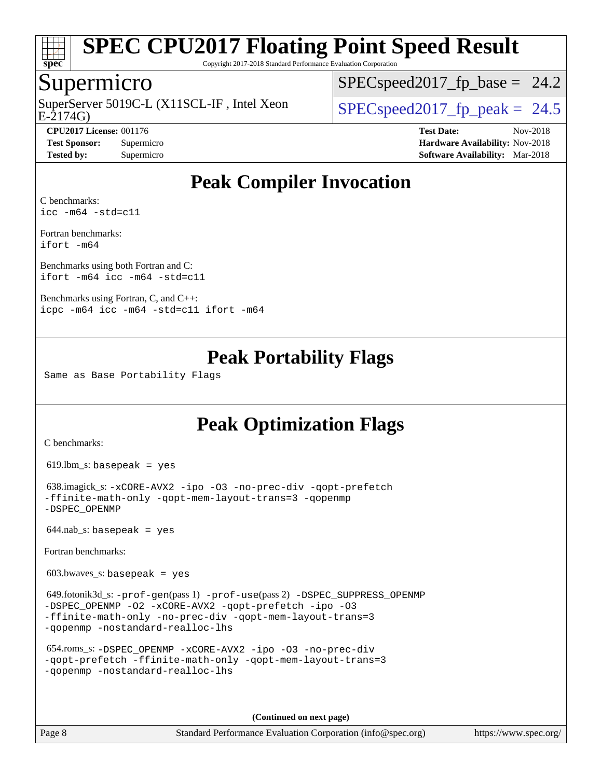

Copyright 2017-2018 Standard Performance Evaluation Corporation

#### Supermicro

E-2174G) SuperServer 5019C-L (X11SCL-IF, Intel Xeon  $SPEC speed2017$  fp\_peak = 24.5

 $SPECspeed2017_fp\_base = 24.2$ 

**[CPU2017 License:](http://www.spec.org/auto/cpu2017/Docs/result-fields.html#CPU2017License)** 001176 **[Test Date:](http://www.spec.org/auto/cpu2017/Docs/result-fields.html#TestDate)** Nov-2018 **[Test Sponsor:](http://www.spec.org/auto/cpu2017/Docs/result-fields.html#TestSponsor)** Supermicro **[Hardware Availability:](http://www.spec.org/auto/cpu2017/Docs/result-fields.html#HardwareAvailability)** Nov-2018 **[Tested by:](http://www.spec.org/auto/cpu2017/Docs/result-fields.html#Testedby)** Supermicro **[Software Availability:](http://www.spec.org/auto/cpu2017/Docs/result-fields.html#SoftwareAvailability)** Mar-2018

## **[Peak Compiler Invocation](http://www.spec.org/auto/cpu2017/Docs/result-fields.html#PeakCompilerInvocation)**

[C benchmarks](http://www.spec.org/auto/cpu2017/Docs/result-fields.html#Cbenchmarks): [icc -m64 -std=c11](http://www.spec.org/cpu2017/results/res2018q4/cpu2017-20181112-09579.flags.html#user_CCpeak_intel_icc_64bit_c11_33ee0cdaae7deeeab2a9725423ba97205ce30f63b9926c2519791662299b76a0318f32ddfffdc46587804de3178b4f9328c46fa7c2b0cd779d7a61945c91cd35)

[Fortran benchmarks](http://www.spec.org/auto/cpu2017/Docs/result-fields.html#Fortranbenchmarks): [ifort -m64](http://www.spec.org/cpu2017/results/res2018q4/cpu2017-20181112-09579.flags.html#user_FCpeak_intel_ifort_64bit_24f2bb282fbaeffd6157abe4f878425411749daecae9a33200eee2bee2fe76f3b89351d69a8130dd5949958ce389cf37ff59a95e7a40d588e8d3a57e0c3fd751)

[Benchmarks using both Fortran and C](http://www.spec.org/auto/cpu2017/Docs/result-fields.html#BenchmarksusingbothFortranandC): [ifort -m64](http://www.spec.org/cpu2017/results/res2018q4/cpu2017-20181112-09579.flags.html#user_CC_FCpeak_intel_ifort_64bit_24f2bb282fbaeffd6157abe4f878425411749daecae9a33200eee2bee2fe76f3b89351d69a8130dd5949958ce389cf37ff59a95e7a40d588e8d3a57e0c3fd751) [icc -m64 -std=c11](http://www.spec.org/cpu2017/results/res2018q4/cpu2017-20181112-09579.flags.html#user_CC_FCpeak_intel_icc_64bit_c11_33ee0cdaae7deeeab2a9725423ba97205ce30f63b9926c2519791662299b76a0318f32ddfffdc46587804de3178b4f9328c46fa7c2b0cd779d7a61945c91cd35)

[Benchmarks using Fortran, C, and C++:](http://www.spec.org/auto/cpu2017/Docs/result-fields.html#BenchmarksusingFortranCandCXX) [icpc -m64](http://www.spec.org/cpu2017/results/res2018q4/cpu2017-20181112-09579.flags.html#user_CC_CXX_FCpeak_intel_icpc_64bit_4ecb2543ae3f1412ef961e0650ca070fec7b7afdcd6ed48761b84423119d1bf6bdf5cad15b44d48e7256388bc77273b966e5eb805aefd121eb22e9299b2ec9d9) [icc -m64 -std=c11](http://www.spec.org/cpu2017/results/res2018q4/cpu2017-20181112-09579.flags.html#user_CC_CXX_FCpeak_intel_icc_64bit_c11_33ee0cdaae7deeeab2a9725423ba97205ce30f63b9926c2519791662299b76a0318f32ddfffdc46587804de3178b4f9328c46fa7c2b0cd779d7a61945c91cd35) [ifort -m64](http://www.spec.org/cpu2017/results/res2018q4/cpu2017-20181112-09579.flags.html#user_CC_CXX_FCpeak_intel_ifort_64bit_24f2bb282fbaeffd6157abe4f878425411749daecae9a33200eee2bee2fe76f3b89351d69a8130dd5949958ce389cf37ff59a95e7a40d588e8d3a57e0c3fd751)

## **[Peak Portability Flags](http://www.spec.org/auto/cpu2017/Docs/result-fields.html#PeakPortabilityFlags)**

Same as Base Portability Flags

## **[Peak Optimization Flags](http://www.spec.org/auto/cpu2017/Docs/result-fields.html#PeakOptimizationFlags)**

[C benchmarks](http://www.spec.org/auto/cpu2017/Docs/result-fields.html#Cbenchmarks):

619.lbm\_s: basepeak = yes

```
 638.imagick_s: -xCORE-AVX2 -ipo -O3 -no-prec-div -qopt-prefetch
-ffinite-math-only -qopt-mem-layout-trans=3 -qopenmp
-DSPEC_OPENMP
```
 $644.nab$ <sub>S</sub>: basepeak = yes

[Fortran benchmarks](http://www.spec.org/auto/cpu2017/Docs/result-fields.html#Fortranbenchmarks):

 $603.bwaves$  s: basepeak = yes

```
 649.fotonik3d_s: -prof-gen(pass 1) -prof-use(pass 2) -DSPEC_SUPPRESS_OPENMP
-DSPEC_OPENMP -O2 -xCORE-AVX2 -qopt-prefetch -ipo -O3
-ffinite-math-only -no-prec-div -qopt-mem-layout-trans=3
-qopenmp -nostandard-realloc-lhs
```

```
 654.roms_s: -DSPEC_OPENMP -xCORE-AVX2 -ipo -O3 -no-prec-div
-qopt-prefetch -ffinite-math-only -qopt-mem-layout-trans=3
-qopenmp -nostandard-realloc-lhs
```
**(Continued on next page)**